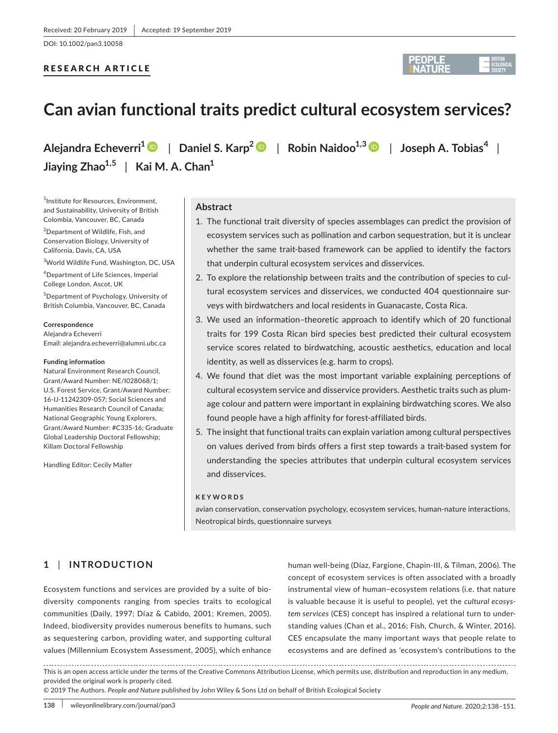DOI: 10.1002/pan3.10058

# RESEARCH ARTICLE



# **Can avian functional traits predict cultural ecosystem services?**

**Alejandra Echeverri<sup>1</sup>** | **Daniel S. Karp<sup>2</sup>** | **Robin Naidoo1,[3](https://orcid.org/0000-0003-3872-0962)** | **Joseph A. Tobias<sup>4</sup>** | **Jiaying Zhao1,5** | **Kai M. A. Chan<sup>1</sup>**

1 Institute for Resources, Environment, and Sustainability, University of British Colombia, Vancouver, BC, Canada

<sup>2</sup>Department of Wildlife, Fish, and Conservation Biology, University of California, Davis, CA, USA

3 World Wildlife Fund, Washington, DC, USA

4 Department of Life Sciences, Imperial College London, Ascot, UK

5 Department of Psychology, University of British Columbia, Vancouver, BC, Canada

#### **Correspondence**

Alejandra Echeverri Email: [alejandra.echeverri@alumni.ubc.ca](mailto:alejandra.echeverri@alumni.ubc.ca)

#### **Funding information**

Natural Environment Research Council, Grant/Award Number: NE/I028068/1; U.S. Forest Service, Grant/Award Number: 16‐IJ‐11242309‐057; Social Sciences and Humanities Research Council of Canada; National Geographic Young Explorers, Grant/Award Number: #C335‐16; Graduate Global Leadership Doctoral Fellowship; Killam Doctoral Fellowship

Handling Editor: Cecily Maller

# **Abstract**

- 1. The functional trait diversity of species assemblages can predict the provision of ecosystem services such as pollination and carbon sequestration, but it is unclear whether the same trait-based framework can be applied to identify the factors that underpin cultural ecosystem services and disservices.
- 2. To explore the relationship between traits and the contribution of species to cul‐ tural ecosystem services and disservices, we conducted 404 questionnaire sur‐ veys with birdwatchers and local residents in Guanacaste, Costa Rica.
- 3. We used an information–theoretic approach to identify which of 20 functional traits for 199 Costa Rican bird species best predicted their cultural ecosystem service scores related to birdwatching, acoustic aesthetics, education and local identity, as well as disservices (e.g. harm to crops).
- 4. We found that diet was the most important variable explaining perceptions of cultural ecosystem service and disservice providers. Aesthetic traits such as plum‐ age colour and pattern were important in explaining birdwatching scores. We also found people have a high affinity for forest‐affiliated birds.
- 5. The insight that functional traits can explain variation among cultural perspectives on values derived from birds offers a first step towards a trait‐based system for understanding the species attributes that underpin cultural ecosystem services and disservices.

#### **KEYWORDS**

avian conservation, conservation psychology, ecosystem services, human‐nature interactions, Neotropical birds, questionnaire surveys

# **1** | **INTRODUCTION**

Ecosystem functions and services are provided by a suite of bio‐ diversity components ranging from species traits to ecological communities (Daily, 1997; Díaz & Cabido, 2001; Kremen, 2005). Indeed, biodiversity provides numerous benefits to humans, such as sequestering carbon, providing water, and supporting cultural values (Millennium Ecosystem Assessment, 2005), which enhance

human well‐being (Díaz, Fargione, Chapin‐III, & Tilman, 2006). The concept of ecosystem services is often associated with a broadly instrumental view of human–ecosystem relations (i.e. that nature is valuable because it is useful to people), yet the *cultural ecosys‐ tem services* (CES) concept has inspired a relational turn to under‐ standing values (Chan et al., 2016; Fish, Church, & Winter, 2016). CES encapsulate the many important ways that people relate to ecosystems and are defined as 'ecosystem's contributions to the

This is an open access article under the terms of the [Creative Commons Attribution](http://creativecommons.org/licenses/by/4.0/) License, which permits use, distribution and reproduction in any medium, provided the original work is properly cited.

© 2019 The Authors. *People and Nature* published by John Wiley & Sons Ltd on behalf of British Ecological Society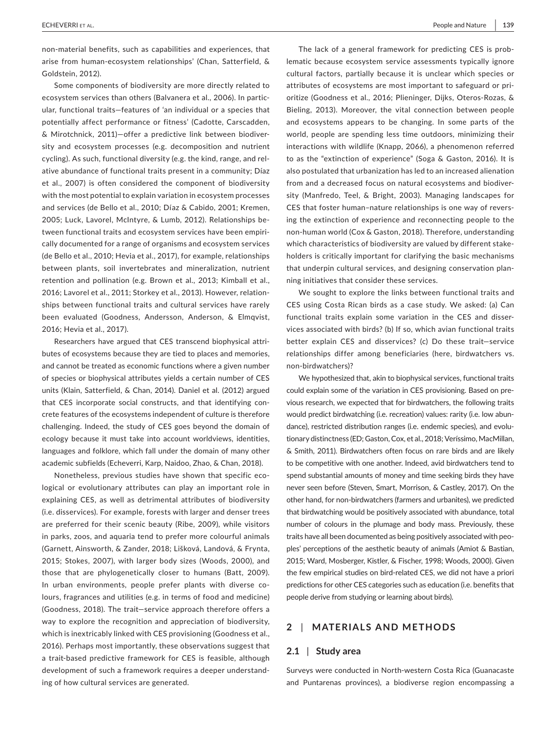non‐material benefits, such as capabilities and experiences, that arise from human‐ecosystem relationships' (Chan, Satterfield, & Goldstein, 2012).

Some components of biodiversity are more directly related to ecosystem services than others (Balvanera et al., 2006). In partic‐ ular, functional traits—features of 'an individual or a species that potentially affect performance or fitness' (Cadotte, Carscadden, & Mirotchnick, 2011)—offer a predictive link between biodiver‐ sity and ecosystem processes (e.g. decomposition and nutrient cycling). As such, functional diversity (e.g. the kind, range, and rel‐ ative abundance of functional traits present in a community; Díaz et al., 2007) is often considered the component of biodiversity with the most potential to explain variation in ecosystem processes and services (de Bello et al., 2010; Díaz & Cabido, 2001; Kremen, 2005; Luck, Lavorel, McIntyre, & Lumb, 2012). Relationships be‐ tween functional traits and ecosystem services have been empiri‐ cally documented for a range of organisms and ecosystem services (de Bello et al., 2010; Hevia et al., 2017), for example, relationships between plants, soil invertebrates and mineralization, nutrient retention and pollination (e.g. Brown et al., 2013; Kimball et al., 2016; Lavorel et al., 2011; Storkey et al., 2013). However, relation‐ ships between functional traits and cultural services have rarely been evaluated (Goodness, Andersson, Anderson, & Elmqvist, 2016; Hevia et al., 2017).

Researchers have argued that CES transcend biophysical attri‐ butes of ecosystems because they are tied to places and memories, and cannot be treated as economic functions where a given number of species or biophysical attributes yields a certain number of CES units (Klain, Satterfield, & Chan, 2014). Daniel et al. (2012) argued that CES incorporate social constructs, and that identifying con‐ crete features of the ecosystems independent of culture is therefore challenging. Indeed, the study of CES goes beyond the domain of ecology because it must take into account worldviews, identities, languages and folklore, which fall under the domain of many other academic subfields (Echeverri, Karp, Naidoo, Zhao, & Chan, 2018).

Nonetheless, previous studies have shown that specific eco‐ logical or evolutionary attributes can play an important role in explaining CES, as well as detrimental attributes of biodiversity (i.e. disservices). For example, forests with larger and denser trees are preferred for their scenic beauty (Ribe, 2009), while visitors in parks, zoos, and aquaria tend to prefer more colourful animals (Garnett, Ainsworth, & Zander, 2018; Lišková, Landová, & Frynta, 2015; Stokes, 2007), with larger body sizes (Woods, 2000), and those that are phylogenetically closer to humans (Batt, 2009). In urban environments, people prefer plants with diverse colours, fragrances and utilities (e.g. in terms of food and medicine) (Goodness, 2018). The trait—service approach therefore offers a way to explore the recognition and appreciation of biodiversity, which is inextricably linked with CES provisioning (Goodness et al., 2016). Perhaps most importantly, these observations suggest that a trait-based predictive framework for CES is feasible, although development of such a framework requires a deeper understand‐ ing of how cultural services are generated.

The lack of a general framework for predicting CES is prob‐ lematic because ecosystem service assessments typically ignore cultural factors, partially because it is unclear which species or attributes of ecosystems are most important to safeguard or pri‐ oritize (Goodness et al., 2016; Plieninger, Dijks, Oteros‐Rozas, & Bieling, 2013). Moreover, the vital connection between people and ecosystems appears to be changing. In some parts of the world, people are spending less time outdoors, minimizing their interactions with wildlife (Knapp, 2066), a phenomenon referred to as the "extinction of experience" (Soga & Gaston, 2016). It is also postulated that urbanization has led to an increased alienation from and a decreased focus on natural ecosystems and biodiver‐ sity (Manfredo, Teel, & Bright, 2003). Managing landscapes for CES that foster human–nature relationships is one way of revers‐ ing the extinction of experience and reconnecting people to the non‐human world (Cox & Gaston, 2018). Therefore, understanding which characteristics of biodiversity are valued by different stake‐ holders is critically important for clarifying the basic mechanisms that underpin cultural services, and designing conservation plan‐ ning initiatives that consider these services.

We sought to explore the links between functional traits and CES using Costa Rican birds as a case study. We asked: (a) Can functional traits explain some variation in the CES and disser‐ vices associated with birds? (b) If so, which avian functional traits better explain CES and disservices? (c) Do these trait—service relationships differ among beneficiaries (here, birdwatchers vs. non‐birdwatchers)?

We hypothesized that, akin to biophysical services, functional traits could explain some of the variation in CES provisioning. Based on pre‐ vious research, we expected that for birdwatchers, the following traits would predict birdwatching (i.e. recreation) values: rarity (i.e. low abun‐ dance), restricted distribution ranges (i.e. endemic species), and evolu‐ tionary distinctness (ED; Gaston, Cox, et al., 2018; Veríssimo, MacMillan, & Smith, 2011). Birdwatchers often focus on rare birds and are likely to be competitive with one another. Indeed, avid birdwatchers tend to spend substantial amounts of money and time seeking birds they have never seen before (Steven, Smart, Morrison, & Castley, 2017). On the other hand, for non‐birdwatchers (farmers and urbanites), we predicted that birdwatching would be positively associated with abundance, total number of colours in the plumage and body mass. Previously, these traits have all been documented as being positively associated with peo‐ ples' perceptions of the aesthetic beauty of animals (Amiot & Bastian, 2015; Ward, Mosberger, Kistler, & Fischer, 1998; Woods, 2000). Given the few empirical studies on bird‐related CES, we did not have a priori predictions for other CES categories such as education (i.e. benefits that people derive from studying or learning about birds).

## **2** | **MATERIALS AND METHODS**

#### **2.1** | **Study area**

Surveys were conducted in North‐western Costa Rica (Guanacaste and Puntarenas provinces), a biodiverse region encompassing a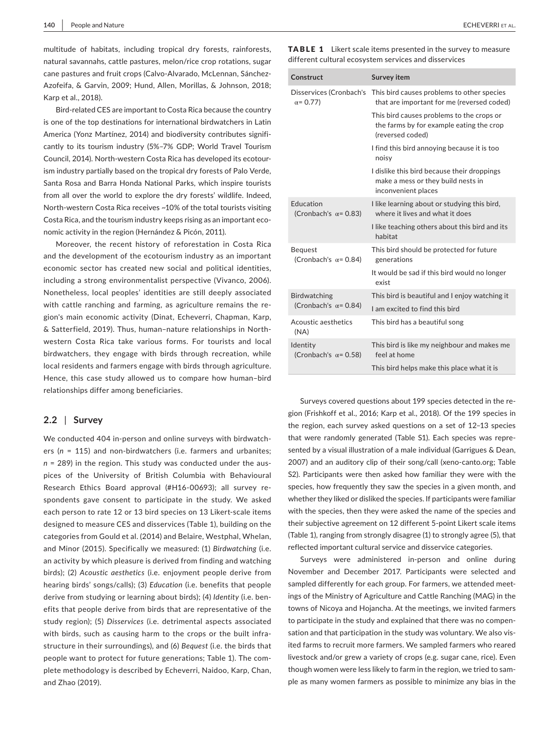multitude of habitats, including tropical dry forests, rainforests, natural savannahs, cattle pastures, melon/rice crop rotations, sugar cane pastures and fruit crops (Calvo-Alvarado, McLennan, Sánchez-Azofeifa, & Garvin, 2009; Hund, Allen, Morillas, & Johnson, 2018; Karp et al., 2018).

Bird-related CES are important to Costa Rica because the country is one of the top destinations for international birdwatchers in Latin America (Yonz Martínez, 2014) and biodiversity contributes signifi‐ cantly to its tourism industry (5%–7% GDP; World Travel Tourism Council, 2014). North‐western Costa Rica has developed its ecotour‐ ism industry partially based on the tropical dry forests of Palo Verde, Santa Rosa and Barra Honda National Parks, which inspire tourists from all over the world to explore the dry forests' wildlife. Indeed, North-western Costa Rica receives ~10% of the total tourists visiting Costa Rica, and the tourism industry keeps rising as an important eco‐ nomic activity in the region (Hernández & Picón, 2011).

Moreover, the recent history of reforestation in Costa Rica and the development of the ecotourism industry as an important economic sector has created new social and political identities, including a strong environmentalist perspective (Vivanco, 2006). Nonetheless, local peoples' identities are still deeply associated with cattle ranching and farming, as agriculture remains the region's main economic activity (Dinat, Echeverri, Chapman, Karp, & Satterfield, 2019). Thus, human–nature relationships in North‐ western Costa Rica take various forms. For tourists and local birdwatchers, they engage with birds through recreation, while local residents and farmers engage with birds through agriculture. Hence, this case study allowed us to compare how human–bird relationships differ among beneficiaries.

### **2.2** | **Survey**

We conducted 404 in-person and online surveys with birdwatchers (n = 115) and non-birdwatchers (i.e. farmers and urbanites; *n* = 289) in the region. This study was conducted under the aus‐ pices of the University of British Columbia with Behavioural Research Ethics Board approval (#H16‐00693); all survey re‐ spondents gave consent to participate in the study. We asked each person to rate 12 or 13 bird species on 13 Likert-scale items designed to measure CES and disservices (Table 1), building on the categories from Gould et al. (2014) and Belaire, Westphal, Whelan, and Minor (2015). Specifically we measured: (1) *Birdwatching* (i.e. an activity by which pleasure is derived from finding and watching birds); (2) *Acoustic aesthetics* (i.e. enjoyment people derive from hearing birds' songs/calls); (3) *Education* (i.e. benefits that people derive from studying or learning about birds); (4) *Identity* (i.e. ben‐ efits that people derive from birds that are representative of the study region); (5) *Disservices* (i.e. detrimental aspects associated with birds, such as causing harm to the crops or the built infrastructure in their surroundings), and (6) *Bequest* (i.e. the birds that people want to protect for future generations; Table 1). The com‐ plete methodology is described by Echeverri, Naidoo, Karp, Chan, and Zhao (2019).

TABLE 1 Likert scale items presented in the survey to measure different cultural ecosystem services and disservices

| Construct                                      | Survey item                                                                                               |
|------------------------------------------------|-----------------------------------------------------------------------------------------------------------|
| Disservices (Cronbach's<br>$\alpha = 0.77$     | This bird causes problems to other species<br>that are important for me (reversed coded)                  |
|                                                | This bird causes problems to the crops or<br>the farms by for example eating the crop<br>(reversed coded) |
|                                                | I find this bird annoying because it is too<br>noisy                                                      |
|                                                | I dislike this bird because their droppings<br>make a mess or they build nests in<br>inconvenient places  |
| Education<br>(Cronbach's $\alpha$ = 0.83)      | I like learning about or studying this bird,<br>where it lives and what it does                           |
|                                                | I like teaching others about this bird and its<br>habitat                                                 |
| <b>Bequest</b><br>(Cronbach's $\alpha$ = 0.84) | This bird should be protected for future<br>generations                                                   |
|                                                | It would be sad if this bird would no longer<br>exist                                                     |
| <b>Birdwatching</b>                            | This bird is beautiful and I enjoy watching it                                                            |
| (Cronbach's $\alpha$ = 0.84)                   | I am excited to find this bird                                                                            |
| Acoustic aesthetics<br>(NA)                    | This bird has a beautiful song                                                                            |
| Identity<br>(Cronbach's $\alpha$ = 0.58)       | This bird is like my neighbour and makes me<br>feel at home                                               |
|                                                | This bird helps make this place what it is                                                                |

Surveys covered questions about 199 species detected in the re‐ gion (Frishkoff et al., 2016; Karp et al., 2018). Of the 199 species in the region, each survey asked questions on a set of 12–13 species that were randomly generated (Table S1). Each species was repre‐ sented by a visual illustration of a male individual (Garrigues & Dean, 2007) and an auditory clip of their song/call (xeno‐canto.org; Table S2). Participants were then asked how familiar they were with the species, how frequently they saw the species in a given month, and whether they liked or disliked the species. If participants were familiar with the species, then they were asked the name of the species and their subjective agreement on 12 different 5‐point Likert scale items (Table 1), ranging from strongly disagree (1) to strongly agree (5), that reflected important cultural service and disservice categories.

Surveys were administered in‐person and online during November and December 2017. Participants were selected and sampled differently for each group. For farmers, we attended meetings of the Ministry of Agriculture and Cattle Ranching (MAG) in the towns of Nicoya and Hojancha. At the meetings, we invited farmers to participate in the study and explained that there was no compen‐ sation and that participation in the study was voluntary. We also visited farms to recruit more farmers. We sampled farmers who reared livestock and/or grew a variety of crops (e.g. sugar cane, rice). Even though women were less likely to farm in the region, we tried to sam‐ ple as many women farmers as possible to minimize any bias in the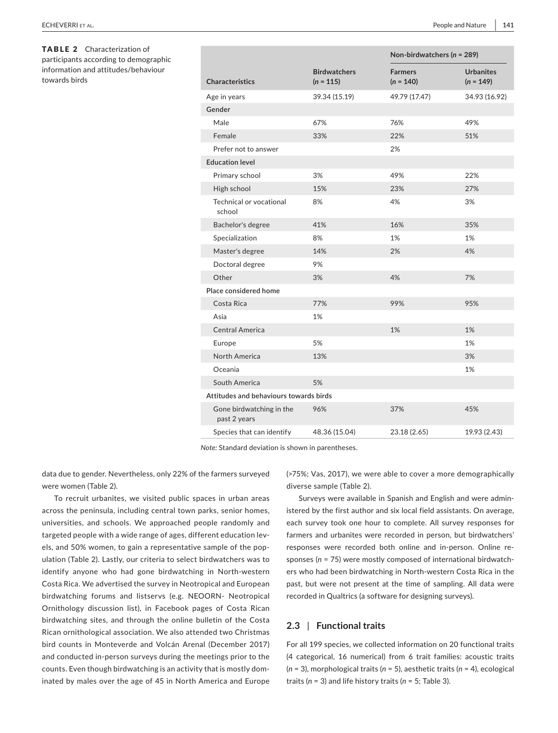TABLE 2 Characterization of participants according to demographic information and attitudes/behaviour towards birds

|                                          |                                    | Non-birdwatchers ( $n = 289$ ) |                                 |  |  |
|------------------------------------------|------------------------------------|--------------------------------|---------------------------------|--|--|
| <b>Characteristics</b>                   | <b>Birdwatchers</b><br>$(n = 115)$ | <b>Farmers</b><br>$(n = 140)$  | <b>Urbanites</b><br>$(n = 149)$ |  |  |
| Age in years                             | 39.34 (15.19)                      | 49.79 (17.47)                  | 34.93 (16.92)                   |  |  |
| Gender                                   |                                    |                                |                                 |  |  |
| Male                                     | 67%                                | 76%                            | 49%                             |  |  |
| Female                                   | 33%                                | 22%                            | 51%                             |  |  |
| Prefer not to answer                     |                                    | 2%                             |                                 |  |  |
| <b>Education level</b>                   |                                    |                                |                                 |  |  |
| Primary school                           | 3%                                 | 49%                            | 22%                             |  |  |
| High school                              | 15%                                | 23%                            | 27%                             |  |  |
| Technical or vocational<br>school        | 8%                                 | 4%                             | 3%                              |  |  |
| Bachelor's degree                        | 41%                                | 16%                            | 35%                             |  |  |
| Specialization                           | 8%                                 | 1%                             | 1%                              |  |  |
| Master's degree                          | 14%                                | 2%                             | 4%                              |  |  |
| Doctoral degree                          | 9%                                 |                                |                                 |  |  |
| Other                                    | 3%                                 | 4%                             | 7%                              |  |  |
| Place considered home                    |                                    |                                |                                 |  |  |
| Costa Rica                               | 77%                                | 99%                            | 95%                             |  |  |
| Asia                                     | 1%                                 |                                |                                 |  |  |
| Central America                          |                                    | 1%                             | 1%                              |  |  |
| Europe                                   | 5%                                 |                                | 1%                              |  |  |
| <b>North America</b>                     | 13%                                |                                | 3%                              |  |  |
| Oceania                                  |                                    |                                | 1%                              |  |  |
| South America                            | 5%                                 |                                |                                 |  |  |
| Attitudes and behaviours towards birds   |                                    |                                |                                 |  |  |
| Gone birdwatching in the<br>past 2 years | 96%                                | 37%                            | 45%                             |  |  |
| Species that can identify                | 48.36 (15.04)                      | 23.18 (2.65)                   | 19.93 (2.43)                    |  |  |

*Note:* Standard deviation is shown in parentheses.

data due to gender. Nevertheless, only 22% of the farmers surveyed were women (Table 2).

To recruit urbanites, we visited public spaces in urban areas across the peninsula, including central town parks, senior homes, universities, and schools. We approached people randomly and targeted people with a wide range of ages, different education levels, and 50% women, to gain a representative sample of the pop‐ ulation (Table 2). Lastly, our criteria to select birdwatchers was to identify anyone who had gone birdwatching in North‐western Costa Rica. We advertised the survey in Neotropical and European birdwatching forums and listservs (e.g. NEOORN‐ Neotropical Ornithology discussion list), in Facebook pages of Costa Rican birdwatching sites, and through the online bulletin of the Costa Rican ornithological association. We also attended two Christmas bird counts in Monteverde and Volcán Arenal (December 2017) and conducted in‐person surveys during the meetings prior to the counts. Even though birdwatching is an activity that is mostly dom‐ inated by males over the age of 45 in North America and Europe

(>75%; Vas, 2017), we were able to cover a more demographically diverse sample (Table 2).

Surveys were available in Spanish and English and were admin‐ istered by the first author and six local field assistants. On average, each survey took one hour to complete. All survey responses for farmers and urbanites were recorded in person, but birdwatchers' responses were recorded both online and in‐person. Online re‐ sponses (*n* = 75) were mostly composed of international birdwatch‐ ers who had been birdwatching in North‐western Costa Rica in the past, but were not present at the time of sampling. All data were recorded in Qualtrics (a software for designing surveys).

#### **2.3** | **Functional traits**

For all 199 species, we collected information on 20 functional traits (4 categorical, 16 numerical) from 6 trait families: acoustic traits (*n* = 3), morphological traits (*n* = 5), aesthetic traits (*n* = 4), ecological traits (*n* = 3) and life history traits (*n* = 5; Table 3).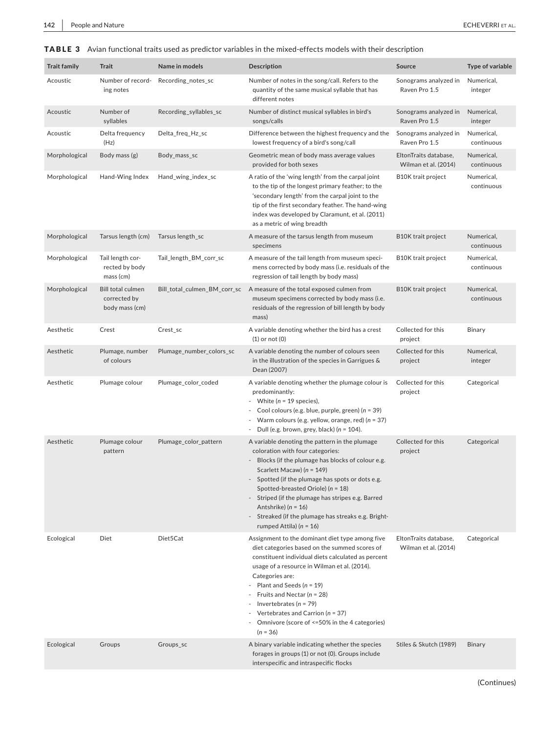# TABLE 3 Avian functional traits used as predictor variables in the mixed-effects models with their description

| <b>Trait family</b> | <b>Trait</b>                                               | Name in models               | <b>Description</b>                                                                                                                                                                                                                                                                                                                                                                                                                                           | Source                                        | <b>Type of variable</b>  |
|---------------------|------------------------------------------------------------|------------------------------|--------------------------------------------------------------------------------------------------------------------------------------------------------------------------------------------------------------------------------------------------------------------------------------------------------------------------------------------------------------------------------------------------------------------------------------------------------------|-----------------------------------------------|--------------------------|
| Acoustic            | Number of record-<br>ing notes                             | Recording_notes_sc           | Number of notes in the song/call. Refers to the<br>quantity of the same musical syllable that has<br>different notes                                                                                                                                                                                                                                                                                                                                         | Sonograms analyzed in<br>Raven Pro 1.5        | Numerical,<br>integer    |
| Acoustic            | Number of<br>syllables                                     | Recording syllables sc       | Number of distinct musical syllables in bird's<br>songs/calls                                                                                                                                                                                                                                                                                                                                                                                                | Sonograms analyzed in<br>Raven Pro 1.5        | Numerical,<br>integer    |
| Acoustic            | Delta frequency<br>(Hz)                                    | Delta_freq_Hz_sc             | Difference between the highest frequency and the<br>lowest frequency of a bird's song/call                                                                                                                                                                                                                                                                                                                                                                   | Sonograms analyzed in<br>Raven Pro 1.5        | Numerical,<br>continuous |
| Morphological       | Body mass (g)                                              | Body_mass_sc                 | Geometric mean of body mass average values<br>provided for both sexes                                                                                                                                                                                                                                                                                                                                                                                        | EltonTraits database,<br>Wilman et al. (2014) | Numerical,<br>continuous |
| Morphological       | Hand-Wing Index                                            | Hand_wing_index_sc           | A ratio of the 'wing length' from the carpal joint<br>to the tip of the longest primary feather; to the<br>'secondary length' from the carpal joint to the<br>tip of the first secondary feather. The hand-wing<br>index was developed by Claramunt, et al. (2011)<br>as a metric of wing breadth                                                                                                                                                            | <b>B10K</b> trait project                     | Numerical,<br>continuous |
| Morphological       | Tarsus length (cm)                                         | Tarsus length_sc             | A measure of the tarsus length from museum<br>specimens                                                                                                                                                                                                                                                                                                                                                                                                      | <b>B10K</b> trait project                     | Numerical,<br>continuous |
| Morphological       | Tail length cor-<br>rected by body<br>mass (cm)            | Tail_length_BM_corr_sc       | A measure of the tail length from museum speci-<br>mens corrected by body mass (i.e. residuals of the<br>regression of tail length by body mass)                                                                                                                                                                                                                                                                                                             | <b>B10K</b> trait project                     | Numerical,<br>continuous |
| Morphological       | <b>Bill total culmen</b><br>corrected by<br>body mass (cm) | Bill_total_culmen_BM_corr_sc | A measure of the total exposed culmen from<br>museum specimens corrected by body mass (i.e.<br>residuals of the regression of bill length by body<br>mass)                                                                                                                                                                                                                                                                                                   | <b>B10K</b> trait project                     | Numerical,<br>continuous |
| Aesthetic           | Crest                                                      | Crest_sc                     | A variable denoting whether the bird has a crest<br>$(1)$ or not $(0)$                                                                                                                                                                                                                                                                                                                                                                                       | Collected for this<br>project                 | Binary                   |
| Aesthetic           | Plumage, number<br>of colours                              | Plumage_number_colors_sc     | A variable denoting the number of colours seen<br>in the illustration of the species in Garrigues &<br>Dean (2007)                                                                                                                                                                                                                                                                                                                                           | Collected for this<br>project                 | Numerical,<br>integer    |
| Aesthetic           | Plumage colour                                             | Plumage_color_coded          | A variable denoting whether the plumage colour is<br>predominantly:<br>White ( $n = 19$ species),<br>$\overline{\phantom{a}}$<br>Cool colours (e.g. blue, purple, green) (n = 39)<br>Warm colours (e.g. yellow, orange, red) ( $n = 37$ )<br>Dull (e.g. brown, grey, black) ( $n = 104$ ).                                                                                                                                                                   | Collected for this<br>project                 | Categorical              |
| Aesthetic           | Plumage colour<br>pattern                                  | Plumage_color_pattern        | A variable denoting the pattern in the plumage<br>coloration with four categories:<br>Blocks (if the plumage has blocks of colour e.g.<br>Scarlett Macaw) ( $n = 149$ )<br>- Spotted (if the plumage has spots or dots e.g.<br>Spotted-breasted Oriole) ( $n = 18$ )<br>Striped (if the plumage has stripes e.g. Barred<br>Antshrike) ( $n = 16$ )<br>Streaked (if the plumage has streaks e.g. Bright-<br>rumped Attila) ( $n = 16$ )                       | Collected for this<br>project                 | Categorical              |
| Ecological          | Diet                                                       | Diet5Cat                     | Assignment to the dominant diet type among five<br>diet categories based on the summed scores of<br>constituent individual diets calculated as percent<br>usage of a resource in Wilman et al. (2014).<br>Categories are:<br>Plant and Seeds ( $n = 19$ )<br>Fruits and Nectar ( $n = 28$ )<br>Invertebrates ( $n = 79$ )<br>Vertebrates and Carrion ( $n = 37$ )<br>$\overline{\phantom{a}}$<br>Omnivore (score of <=50% in the 4 categories)<br>$(n = 36)$ | EltonTraits database,<br>Wilman et al. (2014) | Categorical              |
| Ecological          | Groups                                                     | Groups_sc                    | A binary variable indicating whether the species<br>forages in groups (1) or not (0). Groups include<br>interspecific and intraspecific flocks                                                                                                                                                                                                                                                                                                               | Stiles & Skutch (1989)                        | Binary                   |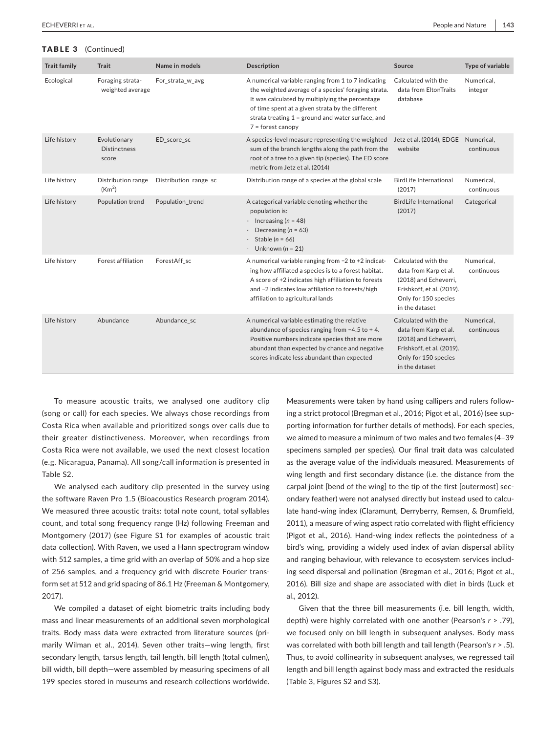#### TABLE 3 (Continued)

| <b>Trait family</b> | <b>Trait</b>                                    | Name in models        | <b>Description</b>                                                                                                                                                                                                                                                                              | Source                                                                                                                                       | Type of variable         |
|---------------------|-------------------------------------------------|-----------------------|-------------------------------------------------------------------------------------------------------------------------------------------------------------------------------------------------------------------------------------------------------------------------------------------------|----------------------------------------------------------------------------------------------------------------------------------------------|--------------------------|
| Ecological          | Foraging strata-<br>weighted average            | For_strata_w_avg      | A numerical variable ranging from 1 to 7 indicating<br>the weighted average of a species' foraging strata.<br>It was calculated by multiplying the percentage<br>of time spent at a given strata by the different<br>strata treating $1 =$ ground and water surface, and<br>$7 =$ forest canopy | Calculated with the<br>data from EltonTraits<br>database                                                                                     | Numerical,<br>integer    |
| Life history        | Evolutionary<br><b>Distinctness</b><br>score    | ED_score_sc           | A species-level measure representing the weighted<br>sum of the branch lengths along the path from the<br>root of a tree to a given tip (species). The ED score<br>metric from Jetz et al. (2014)                                                                                               | Jetz et al. (2014), EDGE Numerical,<br>website                                                                                               | continuous               |
| Life history        | <b>Distribution range</b><br>(Km <sup>2</sup> ) | Distribution_range_sc | Distribution range of a species at the global scale                                                                                                                                                                                                                                             | <b>BirdLife International</b><br>(2017)                                                                                                      | Numerical,<br>continuous |
| Life history        | Population trend                                | Population trend      | A categorical variable denoting whether the<br>population is:<br>- Increasing $(n = 48)$<br>Decreasing ( $n = 63$ )<br>Stable ( $n = 66$ )<br>Unknown ( $n = 21$ )                                                                                                                              | <b>BirdLife International</b><br>(2017)                                                                                                      | Categorical              |
| Life history        | Forest affiliation                              | ForestAff_sc          | A numerical variable ranging from -2 to +2 indicat-<br>ing how affiliated a species is to a forest habitat.<br>A score of +2 indicates high affiliation to forests<br>and -2 indicates low affiliation to forests/high<br>affiliation to agricultural lands                                     | Calculated with the<br>data from Karp et al.<br>(2018) and Echeverri,<br>Frishkoff, et al. (2019).<br>Only for 150 species<br>in the dataset | Numerical,<br>continuous |
| Life history        | Abundance                                       | Abundance sc          | A numerical variable estimating the relative<br>abundance of species ranging from $-4.5$ to $+4$ .<br>Positive numbers indicate species that are more<br>abundant than expected by chance and negative<br>scores indicate less abundant than expected                                           | Calculated with the<br>data from Karp et al.<br>(2018) and Echeverri,<br>Frishkoff, et al. (2019).<br>Only for 150 species<br>in the dataset | Numerical.<br>continuous |

To measure acoustic traits, we analysed one auditory clip (song or call) for each species. We always chose recordings from Costa Rica when available and prioritized songs over calls due to their greater distinctiveness. Moreover, when recordings from Costa Rica were not available, we used the next closest location (e.g. Nicaragua, Panama). All song/call information is presented in Table S2.

We analysed each auditory clip presented in the survey using the software Raven Pro 1.5 (Bioacoustics Research program 2014). We measured three acoustic traits: total note count, total syllables count, and total song frequency range (Hz) following Freeman and Montgomery (2017) (see Figure S1 for examples of acoustic trait data collection). With Raven, we used a Hann spectrogram window with 512 samples, a time grid with an overlap of 50% and a hop size of 256 samples, and a frequency grid with discrete Fourier trans‐ form set at 512 and grid spacing of 86.1 Hz (Freeman & Montgomery, 2017).

We compiled a dataset of eight biometric traits including body mass and linear measurements of an additional seven morphological traits. Body mass data were extracted from literature sources (pri‐ marily Wilman et al., 2014). Seven other traits—wing length, first secondary length, tarsus length, tail length, bill length (total culmen), bill width, bill depth—were assembled by measuring specimens of all 199 species stored in museums and research collections worldwide.

Measurements were taken by hand using callipers and rulers following a strict protocol (Bregman et al., 2016; Pigot et al., 2016) (see sup‐ porting information for further details of methods). For each species, we aimed to measure a minimum of two males and two females (4–39 specimens sampled per species). Our final trait data was calculated as the average value of the individuals measured. Measurements of wing length and first secondary distance (i.e. the distance from the carpal joint [bend of the wing] to the tip of the first [outermost] sec‐ ondary feather) were not analysed directly but instead used to calcu‐ late hand‐wing index (Claramunt, Derryberry, Remsen, & Brumfield, 2011), a measure of wing aspect ratio correlated with flight efficiency (Pigot et al., 2016). Hand‐wing index reflects the pointedness of a bird's wing, providing a widely used index of avian dispersal ability and ranging behaviour, with relevance to ecosystem services includ‐ ing seed dispersal and pollination (Bregman et al., 2016; Pigot et al., 2016). Bill size and shape are associated with diet in birds (Luck et al., 2012).

Given that the three bill measurements (i.e. bill length, width, depth) were highly correlated with one another (Pearson's *r* > .79), we focused only on bill length in subsequent analyses. Body mass was correlated with both bill length and tail length (Pearson's *r* > .5). Thus, to avoid collinearity in subsequent analyses, we regressed tail length and bill length against body mass and extracted the residuals (Table 3, Figures S2 and S3).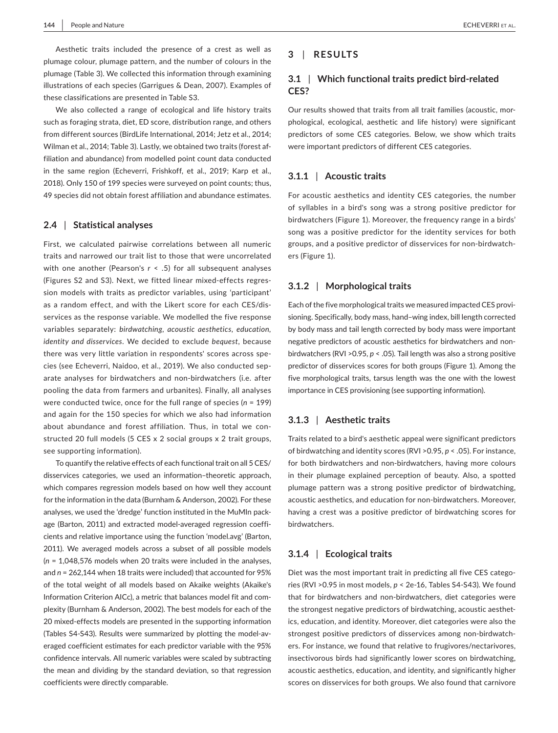Aesthetic traits included the presence of a crest as well as plumage colour, plumage pattern, and the number of colours in the plumage (Table 3). We collected this information through examining illustrations of each species (Garrigues & Dean, 2007). Examples of these classifications are presented in Table S3.

We also collected a range of ecological and life history traits such as foraging strata, diet, ED score, distribution range, and others from different sources (BirdLife International, 2014; Jetz et al., 2014; Wilman et al., 2014; Table 3). Lastly, we obtained two traits (forest af‐ filiation and abundance) from modelled point count data conducted in the same region (Echeverri, Frishkoff, et al., 2019; Karp et al., 2018). Only 150 of 199 species were surveyed on point counts; thus, 49 species did not obtain forest affiliation and abundance estimates.

#### **2.4** | **Statistical analyses**

First, we calculated pairwise correlations between all numeric traits and narrowed our trait list to those that were uncorrelated with one another (Pearson's *r* < .5) for all subsequent analyses (Figures S2 and S3). Next, we fitted linear mixed‐effects regres‐ sion models with traits as predictor variables, using 'participant' as a random effect, and with the Likert score for each CES/dis‐ services as the response variable. We modelled the five response variables separately: *birdwatching, acoustic aesthetics, education, identity and disservices*. We decided to exclude *bequest*, because there was very little variation in respondents' scores across spe‐ cies (see Echeverri, Naidoo, et al., 2019). We also conducted separate analyses for birdwatchers and non‐birdwatchers (i.e. after pooling the data from farmers and urbanites). Finally, all analyses were conducted twice, once for the full range of species (*n* = 199) and again for the 150 species for which we also had information about abundance and forest affiliation. Thus, in total we constructed 20 full models (5 CES x 2 social groups x 2 trait groups, see supporting information).

To quantify the relative effects of each functional trait on all 5 CES/ disservices categories, we used an information–theoretic approach, which compares regression models based on how well they account for the information in the data (Burnham & Anderson, 2002). For these analyses, we used the 'dredge' function instituted in the MuMIn pack‐ age (Barton, 2011) and extracted model‐averaged regression coeffi‐ cients and relative importance using the function 'model.avg' (Barton, 2011). We averaged models across a subset of all possible models (*n* = 1,048,576 models when 20 traits were included in the analyses, and *n* = 262,144 when 18 traits were included) that accounted for 95% of the total weight of all models based on Akaike weights (Akaike's Information Criterion AICc), a metric that balances model fit and com‐ plexity (Burnham & Anderson, 2002). The best models for each of the 20 mixed‐effects models are presented in the supporting information (Tables S4‐S43). Results were summarized by plotting the model‐av‐ eraged coefficient estimates for each predictor variable with the 95% confidence intervals. All numeric variables were scaled by subtracting the mean and dividing by the standard deviation, so that regression coefficients were directly comparable.

# **3** | **RESULTS**

# **3.1** | **Which functional traits predict bird‐related CES?**

Our results showed that traits from all trait families (acoustic, mor‐ phological, ecological, aesthetic and life history) were significant predictors of some CES categories. Below, we show which traits were important predictors of different CES categories.

#### **3.1.1** | **Acoustic traits**

For acoustic aesthetics and identity CES categories, the number of syllables in a bird's song was a strong positive predictor for birdwatchers (Figure 1). Moreover, the frequency range in a birds' song was a positive predictor for the identity services for both groups, and a positive predictor of disservices for non‐birdwatch‐ ers (Figure 1).

#### **3.1.2** | **Morphological traits**

Each of the five morphological traits we measured impacted CES provi‐ sioning. Specifically, body mass, hand–wing index, bill length corrected by body mass and tail length corrected by body mass were important negative predictors of acoustic aesthetics for birdwatchers and non‐ birdwatchers (RVI >0.95, *p* < .05). Tail length was also a strong positive predictor of disservices scores for both groups (Figure 1). Among the five morphological traits, tarsus length was the one with the lowest importance in CES provisioning (see supporting information).

### **3.1.3** | **Aesthetic traits**

Traits related to a bird's aesthetic appeal were significant predictors of birdwatching and identity scores (RVI >0.95, *p* < .05). For instance, for both birdwatchers and non‐birdwatchers, having more colours in their plumage explained perception of beauty. Also, a spotted plumage pattern was a strong positive predictor of birdwatching, acoustic aesthetics, and education for non‐birdwatchers. Moreover, having a crest was a positive predictor of birdwatching scores for birdwatchers.

#### **3.1.4** | **Ecological traits**

Diet was the most important trait in predicting all five CES catego‐ ries (RVI >0.95 in most models, *p* < 2e‐16, Tables S4‐S43). We found that for birdwatchers and non‐birdwatchers, diet categories were the strongest negative predictors of birdwatching, acoustic aesthet‐ ics, education, and identity. Moreover, diet categories were also the strongest positive predictors of disservices among non‐birdwatch‐ ers. For instance, we found that relative to frugivores/nectarivores, insectivorous birds had significantly lower scores on birdwatching, acoustic aesthetics, education, and identity, and significantly higher scores on disservices for both groups. We also found that carnivore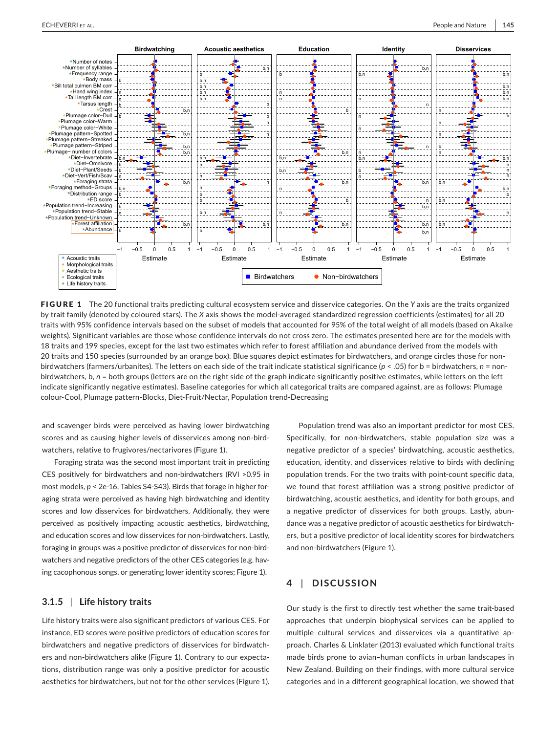

FIGURE 1 The 20 functional traits predicting cultural ecosystem service and disservice categories. On the *Y* axis are the traits organized by trait family (denoted by coloured stars). The *X* axis shows the model‐averaged standardized regression coefficients (estimates) for all 20 traits with 95% confidence intervals based on the subset of models that accounted for 95% of the total weight of all models (based on Akaike weights). Significant variables are those whose confidence intervals do not cross zero. The estimates presented here are for the models with 18 traits and 199 species, except for the last two estimates which refer to forest affiliation and abundance derived from the models with 20 traits and 150 species (surrounded by an orange box). Blue squares depict estimates for birdwatchers, and orange circles those for nonbirdwatchers (farmers/urbanites). The letters on each side of the trait indicate statistical significance ( $p < .05$ ) for b = birdwatchers,  $n =$  nonbirdwatchers, b,  $n =$  both groups (letters are on the right side of the graph indicate significantly positive estimates, while letters on the left indicate significantly negative estimates). Baseline categories for which all categorical traits are compared against, are as follows: Plumage colour‐Cool, Plumage pattern‐Blocks, Diet‐Fruit/Nectar, Population trend‐Decreasing

and scavenger birds were perceived as having lower birdwatching scores and as causing higher levels of disservices among non-birdwatchers, relative to frugivores/nectarivores (Figure 1).

Foraging strata was the second most important trait in predicting CES positively for birdwatchers and non‐birdwatchers (RVI >0.95 in most models,  $p < 2e-16$ , Tables S4-S43). Birds that forage in higher foraging strata were perceived as having high birdwatching and identity scores and low disservices for birdwatchers. Additionally, they were perceived as positively impacting acoustic aesthetics, birdwatching, and education scores and low disservices for non-birdwatchers. Lastly, foraging in groups was a positive predictor of disservices for non‐bird‐ watchers and negative predictors of the other CES categories (e.g. having cacophonous songs, or generating lower identity scores; Figure 1).

# **3.1.5** | **Life history traits**

Life history traits were also significant predictors of various CES. For instance, ED scores were positive predictors of education scores for birdwatchers and negative predictors of disservices for birdwatch‐ ers and non‐birdwatchers alike (Figure 1). Contrary to our expecta‐ tions, distribution range was only a positive predictor for acoustic aesthetics for birdwatchers, but not for the other services (Figure 1).

Population trend was also an important predictor for most CES. Specifically, for non-birdwatchers, stable population size was a negative predictor of a species' birdwatching, acoustic aesthetics, education, identity, and disservices relative to birds with declining population trends. For the two traits with point‐count specific data, we found that forest affiliation was a strong positive predictor of birdwatching, acoustic aesthetics, and identity for both groups, and a negative predictor of disservices for both groups. Lastly, abun‐ dance was a negative predictor of acoustic aesthetics for birdwatch‐ ers, but a positive predictor of local identity scores for birdwatchers and non‐birdwatchers (Figure 1).

# **4** | **DISCUSSION**

Our study is the first to directly test whether the same trait‐based approaches that underpin biophysical services can be applied to multiple cultural services and disservices via a quantitative approach. Charles & Linklater (2013) evaluated which functional traits made birds prone to avian–human conflicts in urban landscapes in New Zealand. Building on their findings, with more cultural service categories and in a different geographical location, we showed that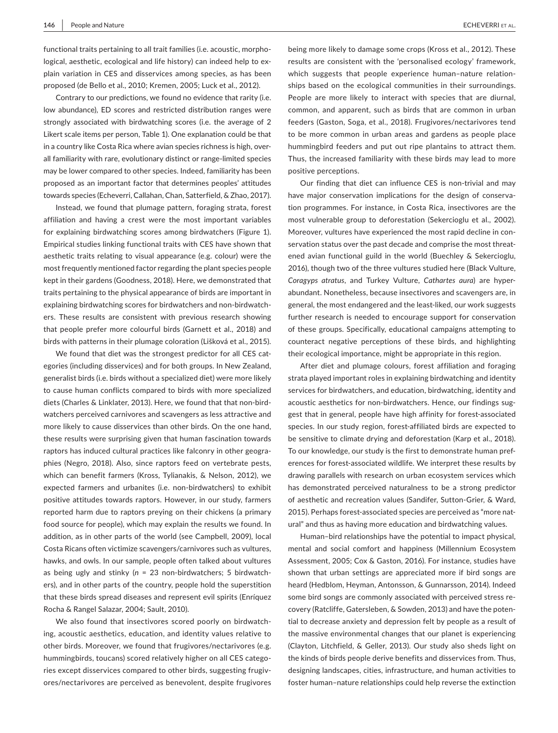functional traits pertaining to all trait families (i.e. acoustic, morpho‐ logical, aesthetic, ecological and life history) can indeed help to ex‐ plain variation in CES and disservices among species, as has been proposed (de Bello et al., 2010; Kremen, 2005; Luck et al., 2012).

Contrary to our predictions, we found no evidence that rarity (i.e. low abundance), ED scores and restricted distribution ranges were strongly associated with birdwatching scores (i.e. the average of 2 Likert scale items per person, Table 1). One explanation could be that in a country like Costa Rica where avian species richness is high, over‐ all familiarity with rare, evolutionary distinct or range‐limited species may be lower compared to other species. Indeed, familiarity has been proposed as an important factor that determines peoples' attitudes towards species (Echeverri, Callahan, Chan, Satterfield, & Zhao, 2017).

Instead, we found that plumage pattern, foraging strata, forest affiliation and having a crest were the most important variables for explaining birdwatching scores among birdwatchers (Figure 1). Empirical studies linking functional traits with CES have shown that aesthetic traits relating to visual appearance (e.g. colour) were the most frequently mentioned factor regarding the plant species people kept in their gardens (Goodness, 2018). Here, we demonstrated that traits pertaining to the physical appearance of birds are important in explaining birdwatching scores for birdwatchers and non‐birdwatch‐ ers. These results are consistent with previous research showing that people prefer more colourful birds (Garnett et al., 2018) and birds with patterns in their plumage coloration (Lišková et al., 2015).

We found that diet was the strongest predictor for all CES categories (including disservices) and for both groups. In New Zealand, generalist birds (i.e. birds without a specialized diet) were more likely to cause human conflicts compared to birds with more specialized diets (Charles & Linklater, 2013). Here, we found that that non‐bird‐ watchers perceived carnivores and scavengers as less attractive and more likely to cause disservices than other birds. On the one hand, these results were surprising given that human fascination towards raptors has induced cultural practices like falconry in other geogra‐ phies (Negro, 2018). Also, since raptors feed on vertebrate pests, which can benefit farmers (Kross, Tylianakis, & Nelson, 2012), we expected farmers and urbanites (i.e. non‐birdwatchers) to exhibit positive attitudes towards raptors. However, in our study, farmers reported harm due to raptors preying on their chickens (a primary food source for people), which may explain the results we found. In addition, as in other parts of the world (see Campbell, 2009), local Costa Ricans often victimize scavengers/carnivores such as vultures, hawks, and owls. In our sample, people often talked about vultures as being ugly and stinky (*n* = 23 non‐birdwatchers; 5 birdwatch‐ ers), and in other parts of the country, people hold the superstition that these birds spread diseases and represent evil spirits (Enríquez Rocha & Rangel Salazar, 2004; Sault, 2010).

We also found that insectivores scored poorly on birdwatching, acoustic aesthetics, education, and identity values relative to other birds. Moreover, we found that frugivores/nectarivores (e.g. hummingbirds, toucans) scored relatively higher on all CES catego‐ ries except disservices compared to other birds, suggesting frugiv‐ ores/nectarivores are perceived as benevolent, despite frugivores being more likely to damage some crops (Kross et al., 2012). These results are consistent with the 'personalised ecology' framework, which suggests that people experience human-nature relationships based on the ecological communities in their surroundings. People are more likely to interact with species that are diurnal, common, and apparent, such as birds that are common in urban feeders (Gaston, Soga, et al., 2018). Frugivores/nectarivores tend to be more common in urban areas and gardens as people place hummingbird feeders and put out ripe plantains to attract them. Thus, the increased familiarity with these birds may lead to more positive perceptions.

Our finding that diet can influence CES is non-trivial and may have major conservation implications for the design of conservation programmes. For instance, in Costa Rica, insectivores are the most vulnerable group to deforestation (Sekercioglu et al., 2002). Moreover, vultures have experienced the most rapid decline in conservation status over the past decade and comprise the most threatened avian functional guild in the world (Buechley & Sekercioglu, 2016), though two of the three vultures studied here (Black Vulture, *Coragyps atratus*, and Turkey Vulture, *Cathartes aura*) are hyper‐ abundant. Nonetheless, because insectivores and scavengers are, in general, the most endangered and the least-liked, our work suggests further research is needed to encourage support for conservation of these groups. Specifically, educational campaigns attempting to counteract negative perceptions of these birds, and highlighting their ecological importance, might be appropriate in this region.

After diet and plumage colours, forest affiliation and foraging strata played important roles in explaining birdwatching and identity services for birdwatchers, and education, birdwatching, identity and acoustic aesthetics for non-birdwatchers. Hence, our findings suggest that in general, people have high affinity for forest‐associated species. In our study region, forest‐affiliated birds are expected to be sensitive to climate drying and deforestation (Karp et al., 2018). To our knowledge, our study is the first to demonstrate human pref‐ erences for forest‐associated wildlife. We interpret these results by drawing parallels with research on urban ecosystem services which has demonstrated perceived naturalness to be a strong predictor of aesthetic and recreation values (Sandifer, Sutton‐Grier, & Ward, 2015). Perhaps forest-associated species are perceived as "more natural" and thus as having more education and birdwatching values.

Human–bird relationships have the potential to impact physical, mental and social comfort and happiness (Millennium Ecosystem Assessment, 2005; Cox & Gaston, 2016). For instance, studies have shown that urban settings are appreciated more if bird songs are heard (Hedblom, Heyman, Antonsson, & Gunnarsson, 2014). Indeed some bird songs are commonly associated with perceived stress recovery (Ratcliffe, Gatersleben, & Sowden, 2013) and have the poten‐ tial to decrease anxiety and depression felt by people as a result of the massive environmental changes that our planet is experiencing (Clayton, Litchfield, & Geller, 2013). Our study also sheds light on the kinds of birds people derive benefits and disservices from. Thus, designing landscapes, cities, infrastructure, and human activities to foster human–nature relationships could help reverse the extinction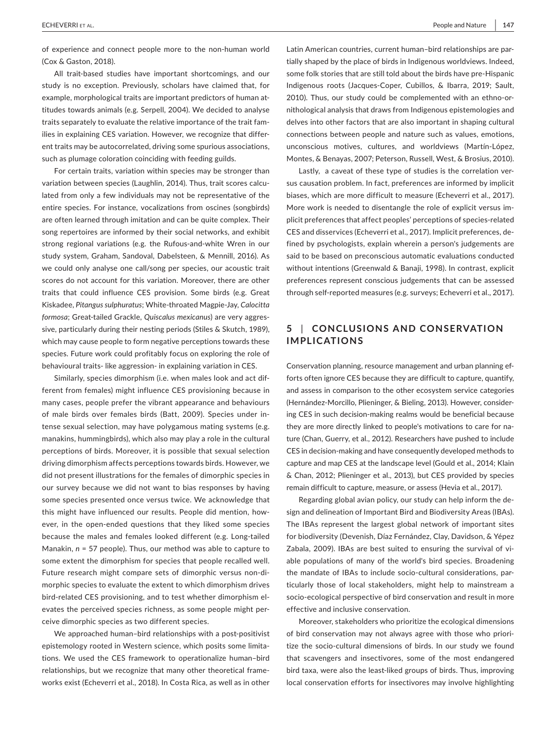of experience and connect people more to the non‐human world (Cox & Gaston, 2018).

All trait-based studies have important shortcomings, and our study is no exception. Previously, scholars have claimed that, for example, morphological traits are important predictors of human attitudes towards animals (e.g. Serpell, 2004). We decided to analyse traits separately to evaluate the relative importance of the trait fam‐ ilies in explaining CES variation. However, we recognize that differ‐ ent traits may be autocorrelated, driving some spurious associations, such as plumage coloration coinciding with feeding guilds.

For certain traits, variation within species may be stronger than variation between species (Laughlin, 2014). Thus, trait scores calculated from only a few individuals may not be representative of the entire species. For instance, vocalizations from oscines (songbirds) are often learned through imitation and can be quite complex. Their song repertoires are informed by their social networks, and exhibit strong regional variations (e.g. the Rufous‐and‐white Wren in our study system, Graham, Sandoval, Dabelsteen, & Mennill, 2016). As we could only analyse one call/song per species, our acoustic trait scores do not account for this variation. Moreover, there are other traits that could influence CES provision. Some birds (e.g. Great Kiskadee, *Pitangus sulphuratus*; White‐throated Magpie‐Jay, *Calocitta formosa*; Great‐tailed Grackle, *Quiscalus mexicanus*) are very aggres‐ sive, particularly during their nesting periods (Stiles & Skutch, 1989), which may cause people to form negative perceptions towards these species. Future work could profitably focus on exploring the role of behavioural traits‐ like aggression‐ in explaining variation in CES.

Similarly, species dimorphism (i.e. when males look and act dif‐ ferent from females) might influence CES provisioning because in many cases, people prefer the vibrant appearance and behaviours of male birds over females birds (Batt, 2009). Species under in‐ tense sexual selection, may have polygamous mating systems (e.g. manakins, hummingbirds), which also may play a role in the cultural perceptions of birds. Moreover, it is possible that sexual selection driving dimorphism affects perceptions towards birds. However, we did not present illustrations for the females of dimorphic species in our survey because we did not want to bias responses by having some species presented once versus twice. We acknowledge that this might have influenced our results. People did mention, how‐ ever, in the open-ended questions that they liked some species because the males and females looked different (e.g. Long-tailed Manakin, *n* = 57 people). Thus, our method was able to capture to some extent the dimorphism for species that people recalled well. Future research might compare sets of dimorphic versus non‐di‐ morphic species to evaluate the extent to which dimorphism drives bird-related CES provisioning, and to test whether dimorphism elevates the perceived species richness, as some people might per‐ ceive dimorphic species as two different species.

We approached human-bird relationships with a post-positivist epistemology rooted in Western science, which posits some limita‐ tions. We used the CES framework to operationalize human–bird relationships, but we recognize that many other theoretical frame‐ works exist (Echeverri et al., 2018). In Costa Rica, as well as in other

Latin American countries, current human–bird relationships are par‐ tially shaped by the place of birds in Indigenous worldviews. Indeed, some folk stories that are still told about the birds have pre‐Hispanic Indigenous roots (Jacques‐Coper, Cubillos, & Ibarra, 2019; Sault, 2010). Thus, our study could be complemented with an ethno‐or‐ nithological analysis that draws from Indigenous epistemologies and delves into other factors that are also important in shaping cultural connections between people and nature such as values, emotions, unconscious motives, cultures, and worldviews (Martín‐López, Montes, & Benayas, 2007; Peterson, Russell, West, & Brosius, 2010).

Lastly, a caveat of these type of studies is the correlation ver‐ sus causation problem. In fact, preferences are informed by implicit biases, which are more difficult to measure (Echeverri et al., 2017). More work is needed to disentangle the role of explicit versus im‐ plicit preferences that affect peoples' perceptions of species‐related CES and disservices (Echeverri et al., 2017). Implicit preferences, de‐ fined by psychologists, explain wherein a person's judgements are said to be based on preconscious automatic evaluations conducted without intentions (Greenwald & Banaji, 1998). In contrast, explicit preferences represent conscious judgements that can be assessed through self-reported measures (e.g. surveys; Echeverri et al., 2017).

# **5** | **CONCLUSIONS AND CONSERVATION IMPLICATIONS**

Conservation planning, resource management and urban planning ef‐ forts often ignore CES because they are difficult to capture, quantify, and assess in comparison to the other ecosystem service categories (Hernández‐Morcillo, Plieninger, & Bieling, 2013). However, consider‐ ing CES in such decision‐making realms would be beneficial because they are more directly linked to people's motivations to care for na‐ ture (Chan, Guerry, et al., 2012). Researchers have pushed to include CES in decision‐making and have consequently developed methods to capture and map CES at the landscape level (Gould et al., 2014; Klain & Chan, 2012; Plieninger et al., 2013), but CES provided by species remain difficult to capture, measure, or assess (Hevia et al., 2017).

Regarding global avian policy, our study can help inform the de‐ sign and delineation of Important Bird and Biodiversity Areas (IBAs). The IBAs represent the largest global network of important sites for biodiversity (Devenish, Díaz Fernández, Clay, Davidson, & Yépez Zabala, 2009). IBAs are best suited to ensuring the survival of vi‐ able populations of many of the world's bird species. Broadening the mandate of IBAs to include socio-cultural considerations, particularly those of local stakeholders, might help to mainstream a socio‐ecological perspective of bird conservation and result in more effective and inclusive conservation.

Moreover, stakeholders who prioritize the ecological dimensions of bird conservation may not always agree with those who priori‐ tize the socio‐cultural dimensions of birds. In our study we found that scavengers and insectivores, some of the most endangered bird taxa, were also the least‐liked groups of birds. Thus, improving local conservation efforts for insectivores may involve highlighting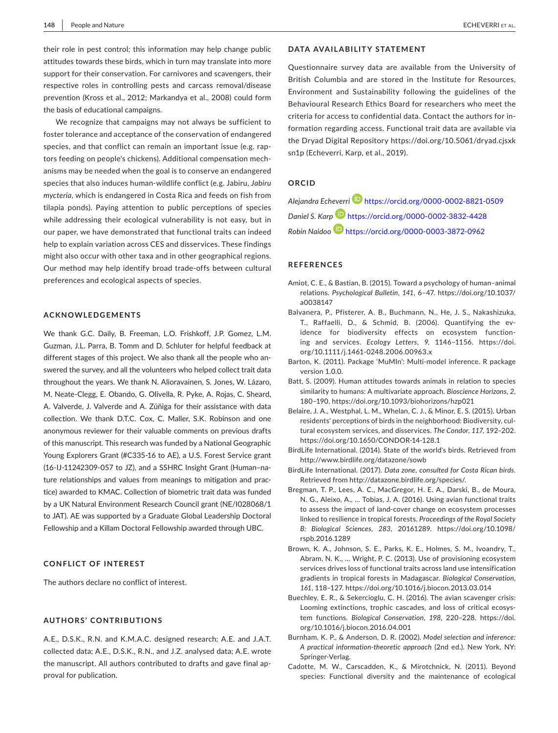their role in pest control; this information may help change public attitudes towards these birds, which in turn may translate into more support for their conservation. For carnivores and scavengers, their respective roles in controlling pests and carcass removal/disease prevention (Kross et al., 2012; Markandya et al., 2008) could form the basis of educational campaigns.

We recognize that campaigns may not always be sufficient to foster tolerance and acceptance of the conservation of endangered species, and that conflict can remain an important issue (e.g. raptors feeding on people's chickens). Additional compensation mech‐ anisms may be needed when the goal is to conserve an endangered species that also induces human‐wildlife conflict (e.g. Jabiru, *Jabiru mycteria*, which is endangered in Costa Rica and feeds on fish from tilapia ponds). Paying attention to public perceptions of species while addressing their ecological vulnerability is not easy, but in our paper, we have demonstrated that functional traits can indeed help to explain variation across CES and disservices. These findings might also occur with other taxa and in other geographical regions. Our method may help identify broad trade‐offs between cultural preferences and ecological aspects of species.

#### **ACKNOWLEDGEMENTS**

We thank G.C. Daily, B. Freeman, L.O. Frishkoff, J.P. Gomez, L.M. Guzman, J.L. Parra, B. Tomm and D. Schluter for helpful feedback at different stages of this project. We also thank all the people who an‐ swered the survey, and all the volunteers who helped collect trait data throughout the years. We thank N. Alioravainen, S. Jones, W. Lázaro, M. Neate‐Clegg, E. Obando, G. Olivella, R. Pyke, A. Rojas, C. Sheard, A. Valverde, J. Valverde and A. Zúñiga for their assistance with data collection. We thank D.T.C. Cox, C. Maller, S.K. Robinson and one anonymous reviewer for their valuable comments on previous drafts of this manuscript. This research was funded by a National Geographic Young Explorers Grant (#C335‐16 to AE), a U.S. Forest Service grant (16‐IJ‐11242309‐057 to JZ), and a SSHRC Insight Grant (Human–na‐ ture relationships and values from meanings to mitigation and prac‐ tice) awarded to KMAC. Collection of biometric trait data was funded by a UK Natural Environment Research Council grant (NE/I028068/1 to JAT). AE was supported by a Graduate Global Leadership Doctoral Fellowship and a Killam Doctoral Fellowship awarded through UBC.

#### **CONFLICT OF INTEREST**

The authors declare no conflict of interest.

#### **AUTHORS' CONTRIBUTIONS**

A.E., D.S.K., R.N. and K.M.A.C. designed research; A.E. and J.A.T. collected data; A.E., D.S.K., R.N., and J.Z. analysed data; A.E. wrote the manuscript. All authors contributed to drafts and gave final approval for publication.

#### **DATA AVAILABILITY STATEMENT**

Questionnaire survey data are available from the University of British Columbia and are stored in the Institute for Resources, Environment and Sustainability following the guidelines of the Behavioural Research Ethics Board for researchers who meet the criteria for access to confidential data. Contact the authors for in‐ formation regarding access. Functional trait data are available via the Dryad Digital Repository [https://doi.org/10.5061/dryad.cjsxk](https://doi.org/10.5061/dryad.cjsxksn1p) [sn1p](https://doi.org/10.5061/dryad.cjsxksn1p) (Echeverri, Karp, et al., 2019).

#### **ORCID**

*Alejandra Echeverri* <https://orcid.org/0000-0002-8821-0509> *Daniel S. Karp* <https://orcid.org/0000-0002-3832-4428> *Robin Naidoo* <https://orcid.org/0000-0003-3872-0962>

#### **REFERENCES**

- Amiot, C. E., & Bastian, B. (2015). Toward a psychology of human–animal relations. *Psychological Bulletin*, *141*, 6–47. [https://doi.org/10.1037/](https://doi.org/10.1037/a0038147) [a0038147](https://doi.org/10.1037/a0038147)
- Balvanera, P., Pfisterer, A. B., Buchmann, N., He, J. S., Nakashizuka, T., Raffaelli, D., & Schmid, B. (2006). Quantifying the ev‐ idence for biodiversity effects on ecosystem function‐ ing and services. *Ecology Letters*, *9*, 1146–1156. [https://doi.](https://doi.org/10.1111/j.1461-0248.2006.00963.x) [org/10.1111/j.1461-0248.2006.00963.x](https://doi.org/10.1111/j.1461-0248.2006.00963.x)
- Barton, K. (2011). Package 'MuMIn': Multi‐model inference. R package version 1.0.0.
- Batt, S. (2009). Human attitudes towards animals in relation to species similarity to humans: A multivariate approach. *Bioscience Horizons*, *2*, 180–190.<https://doi.org/10.1093/biohorizons/hzp021>
- Belaire, J. A., Westphal, L. M., Whelan, C. J., & Minor, E. S. (2015). Urban residents' perceptions of birds in the neighborhood: Biodiversity, cul‐ tural ecosystem services, and disservices. *The Condor*, *117*, 192–202. <https://doi.org/10.1650/CONDOR-14-128.1>
- BirdLife International. (2014). State of the world's birds. Retrieved from <http://www.birdlife.org/datazone/sowb>
- BirdLife International. (2017). *Data zone, consulted for Costa Rican birds*. Retrieved from http://datazone.birdlife.org/species/.
- Bregman, T. P., Lees, A. C., MacGregor, H. E. A., Darski, B., de Moura, N. G., Aleixo, A., … Tobias, J. A. (2016). Using avian functional traits to assess the impact of land‐cover change on ecosystem processes linked to resilience in tropical forests. *Proceedings of the Royal Society B: Biological Sciences*, *283*, 20161289. [https://doi.org/10.1098/](https://doi.org/10.1098/rspb.2016.1289) [rspb.2016.1289](https://doi.org/10.1098/rspb.2016.1289)
- Brown, K. A., Johnson, S. E., Parks, K. E., Holmes, S. M., Ivoandry, T., Abram, N. K., … Wright, P. C. (2013). Use of provisioning ecosystem services drives loss of functional traits across land use intensification gradients in tropical forests in Madagascar. *Biological Conservation*, *161*, 118–127. <https://doi.org/10.1016/j.biocon.2013.03.014>
- Buechley, E. R., & Sekercioglu, C. H. (2016). The avian scavenger crisis: Looming extinctions, trophic cascades, and loss of critical ecosys‐ tem functions. *Biological Conservation*, *198*, 220–228. [https://doi.](https://doi.org/10.1016/j.biocon.2016.04.001) [org/10.1016/j.biocon.2016.04.001](https://doi.org/10.1016/j.biocon.2016.04.001)
- Burnham, K. P., & Anderson, D. R. (2002). *Model selection and inference: A practical information‐theoretic approach* (2nd ed.). New York, NY: Springer‐Verlag.
- Cadotte, M. W., Carscadden, K., & Mirotchnick, N. (2011). Beyond species: Functional diversity and the maintenance of ecological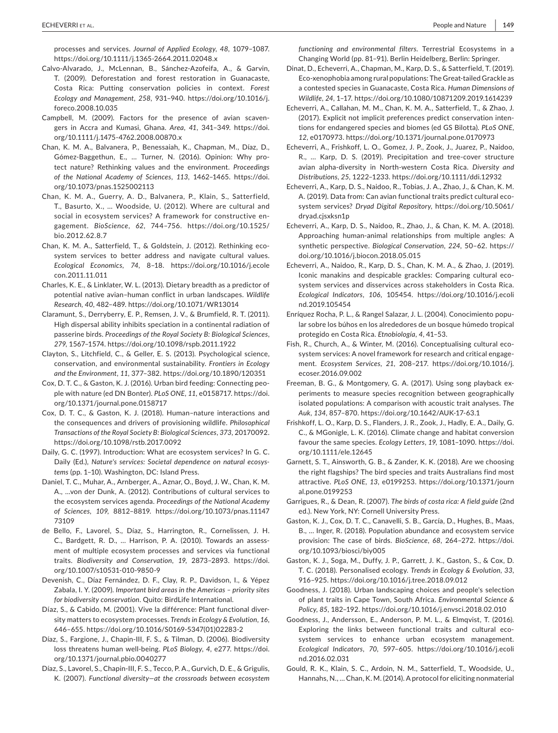processes and services. *Journal of Applied Ecology*, *48*, 1079–1087. <https://doi.org/10.1111/j.1365-2664.2011.02048.x>

- Calvo‐Alvarado, J., McLennan, B., Sánchez‐Azofeifa, A., & Garvin, T. (2009). Deforestation and forest restoration in Guanacaste, Costa Rica: Putting conservation policies in context. *Forest Ecology and Management*, *258*, 931–940. [https://doi.org/10.1016/j.](https://doi.org/10.1016/j.foreco.2008.10.035) [foreco.2008.10.035](https://doi.org/10.1016/j.foreco.2008.10.035)
- Campbell, M. (2009). Factors for the presence of avian scaven‐ gers in Accra and Kumasi, Ghana. *Area*, *41*, 341–349. [https://doi.](https://doi.org/10.1111/j.1475-4762.2008.00870.x) [org/10.1111/j.1475-4762.2008.00870.x](https://doi.org/10.1111/j.1475-4762.2008.00870.x)
- Chan, K. M. A., Balvanera, P., Benessaiah, K., Chapman, M., Díaz, D., Gómez‐Baggethun, E., … Turner, N. (2016). Opinion: Why pro‐ tect nature? Rethinking values and the environment. *Proceedings of the National Academy of Sciences*, *113*, 1462–1465. [https://doi.](https://doi.org/10.1073/pnas.1525002113) [org/10.1073/pnas.1525002113](https://doi.org/10.1073/pnas.1525002113)
- Chan, K. M. A., Guerry, A. D., Balvanera, P., Klain, S., Satterfield, T., Basurto, X., … Woodside, U. (2012). Where are cultural and social in ecosystem services? A framework for constructive en‐ gagement. *BioScience*, *62*, 744–756. [https://doi.org/10.1525/](https://doi.org/10.1525/bio.2012.62.8.7) [bio.2012.62.8.7](https://doi.org/10.1525/bio.2012.62.8.7)
- Chan, K. M. A., Satterfield, T., & Goldstein, J. (2012). Rethinking eco‐ system services to better address and navigate cultural values. *Ecological Economics*, *74*, 8–18. [https://doi.org/10.1016/j.ecole](https://doi.org/10.1016/j.ecolecon.2011.11.011) [con.2011.11.011](https://doi.org/10.1016/j.ecolecon.2011.11.011)
- Charles, K. E., & Linklater, W. L. (2013). Dietary breadth as a predictor of potential native avian–human conflict in urban landscapes. *Wildlife Research*, *40*, 482–489. <https://doi.org/10.1071/WR13014>
- Claramunt, S., Derryberry, E. P., Remsen, J. V., & Brumfield, R. T. (2011). High dispersal ability inhibits speciation in a continental radiation of passerine birds. *Proceedings of the Royal Society B: Biological Sciences*, *279*, 1567–1574.<https://doi.org/10.1098/rspb.2011.1922>
- Clayton, S., Litchfield, C., & Geller, E. S. (2013). Psychological science, conservation, and environmental sustainability. *Frontiers in Ecology and the Environment*, *11*, 377–382.<https://doi.org/10.1890/120351>
- Cox, D. T. C., & Gaston, K. J. (2016). Urban bird feeding: Connecting peo‐ ple with nature (ed DN Bonter). *PLoS ONE*, *11*, e0158717. [https://doi.](https://doi.org/10.1371/journal.pone.0158717) [org/10.1371/journal.pone.0158717](https://doi.org/10.1371/journal.pone.0158717)
- Cox, D. T. C., & Gaston, K. J. (2018). Human–nature interactions and the consequences and drivers of provisioning wildlife. *Philosophical Transactions of the Royal Society B: Biological Sciences*, *373*, 20170092. <https://doi.org/10.1098/rstb.2017.0092>
- Daily, G. C. (1997). Introduction: What are ecosystem services? In G. C. Daily (Ed.), *Nature's services: Societal dependence on natural ecosys‐ tems* (pp. 1–10). Washington, DC: Island Press.
- Daniel, T. C., Muhar, A., Arnberger, A., Aznar, O., Boyd, J. W., Chan, K. M. A., …von der Dunk, A. (2012). Contributions of cultural services to the ecosystem services agenda. *Proceedings of the National Academy of Sciences*, *109*, 8812–8819. [https://doi.org/10.1073/pnas.11147](https://doi.org/10.1073/pnas.1114773109) [73109](https://doi.org/10.1073/pnas.1114773109)
- de Bello, F., Lavorel, S., Díaz, S., Harrington, R., Cornelissen, J. H. C., Bardgett, R. D., … Harrison, P. A. (2010). Towards an assess‐ ment of multiple ecosystem processes and services via functional traits. *Biodiversity and Conservation*, *19*, 2873–2893. [https://doi.](https://doi.org/10.1007/s10531-010-9850-9) [org/10.1007/s10531-010-9850-9](https://doi.org/10.1007/s10531-010-9850-9)
- Devenish, C., Díaz Fernández, D. F., Clay, R. P., Davidson, I., & Yépez Zabala, I. Y. (2009). *Important bird areas in the Americas – priority sites for biodiversity conservation*. Quito: BirdLife International.
- Díaz, S., & Cabido, M. (2001). Vive la différence: Plant functional diversity matters to ecosystem processes. *Trends in Ecology & Evolution*, *16*, 646–655. [https://doi.org/10.1016/S0169-5347\(01\)02283-2](https://doi.org/10.1016/S0169-5347(01)02283-2)
- Díaz, S., Fargione, J., Chapin‐III, F. S., & Tilman, D. (2006). Biodiversity loss threatens human well‐being. *PLoS Biology*, *4*, e277. [https://doi.](https://doi.org/10.1371/journal.pbio.0040277) [org/10.1371/journal.pbio.0040277](https://doi.org/10.1371/journal.pbio.0040277)
- Díaz, S., Lavorel, S., Chapin‐III, F. S., Tecco, P. A., Gurvich, D. E., & Grigulis, K. (2007). *Functional diversity—at the crossroads between ecosystem*

*functioning and environmental filters.* Terrestrial Ecosystems in a Changing World (pp. 81–91). Berlin Heidelberg, Berlin: Springer.

- Dinat, D., Echeverri, A., Chapman, M., Karp, D. S., & Satterfield, T. (2019). Eco‐xenophobia among rural populations: The Great‐tailed Grackle as a contested species in Guanacaste, Costa Rica. *Human Dimensions of Wildlife*, *24*, 1–17.<https://doi.org/10.1080/10871209.2019.1614239>
- Echeverri, A., Callahan, M. M., Chan, K. M. A., Satterfield, T., & Zhao, J. (2017). Explicit not implicit preferences predict conservation inten‐ tions for endangered species and biomes (ed GS Bilotta). *PLoS ONE*, *12*, e0170973. <https://doi.org/10.1371/journal.pone.0170973>
- Echeverri, A., Frishkoff, L. O., Gomez, J. P., Zook, J., Juarez, P., Naidoo, R., … Karp, D. S. (2019). Precipitation and tree‐cover structure avian alpha‐diversity in North‐western Costa Rica. *Diversity and Distributions*, *25*, 1222–1233. <https://doi.org/10.1111/ddi.12932>
- Echeverri, A., Karp, D. S., Naidoo, R., Tobias, J. A., Zhao, J., & Chan, K. M. A. (2019). Data from: Can avian functional traits predict cultural eco‐ system services? *Dryad Digital Repository*, [https://doi.org/10.5061/](https://doi.org/10.5061/dryad.cjsxksn1p) [dryad.cjsxksn1p](https://doi.org/10.5061/dryad.cjsxksn1p)
- Echeverri, A., Karp, D. S., Naidoo, R., Zhao, J., & Chan, K. M. A. (2018). Approaching human‐animal relationships from multiple angles: A synthetic perspective. *Biological Conservation*, *224*, 50–62. [https://](https://doi.org/10.1016/j.biocon.2018.05.015) [doi.org/10.1016/j.biocon.2018.05.015](https://doi.org/10.1016/j.biocon.2018.05.015)
- Echeverri, A., Naidoo, R., Karp, D. S., Chan, K. M. A., & Zhao, J. (2019). Iconic manakins and despicable grackles: Comparing cultural ecosystem services and disservices across stakeholders in Costa Rica. *Ecological Indicators*, *106*, 105454. [https://doi.org/10.1016/j.ecoli](https://doi.org/10.1016/j.ecolind.2019.105454) [nd.2019.105454](https://doi.org/10.1016/j.ecolind.2019.105454)
- Enríquez Rocha, P. L., & Rangel Salazar, J. L. (2004). Conocimiento popu‐ lar sobre los búhos en los alrededores de un bosque húmedo tropical protegido en Costa Rica. *Etnobiología*, *4*, 41–53.
- Fish, R., Church, A., & Winter, M. (2016). Conceptualising cultural eco‐ system services: A novel framework for research and critical engage‐ ment. *Ecosystem Services*, *21*, 208–217. [https://doi.org/10.1016/j.](https://doi.org/10.1016/j.ecoser.2016.09.002) [ecoser.2016.09.002](https://doi.org/10.1016/j.ecoser.2016.09.002)
- Freeman, B. G., & Montgomery, G. A. (2017). Using song playback ex‐ periments to measure species recognition between geographically isolated populations: A comparison with acoustic trait analyses. *The Auk*, *134*, 857–870.<https://doi.org/10.1642/AUK-17-63.1>
- Frishkoff, L. O., Karp, D. S., Flanders, J. R., Zook, J., Hadly, E. A., Daily, G. C., & MGonigle, L. K. (2016). Climate change and habitat conversion favour the same species. *Ecology Letters*, *19*, 1081–1090. [https://doi.](https://doi.org/10.1111/ele.12645) [org/10.1111/ele.12645](https://doi.org/10.1111/ele.12645)
- Garnett, S. T., Ainsworth, G. B., & Zander, K. K. (2018). Are we choosing the right flagships? The bird species and traits Australians find most attractive. *PLoS ONE*, *13*, e0199253. [https://doi.org/10.1371/journ](https://doi.org/10.1371/journal.pone.0199253) [al.pone.0199253](https://doi.org/10.1371/journal.pone.0199253)
- Garrigues, R., & Dean, R. (2007). *The birds of costa rica: A field guide* (2nd ed.). New York, NY: Cornell University Press.
- Gaston, K. J., Cox, D. T. C., Canavelli, S. B., García, D., Hughes, B., Maas, B., … Inger, R. (2018). Population abundance and ecosystem service provision: The case of birds. *BioScience*, *68*, 264–272. [https://doi.](https://doi.org/10.1093/biosci/biy005) [org/10.1093/biosci/biy005](https://doi.org/10.1093/biosci/biy005)
- Gaston, K. J., Soga, M., Duffy, J. P., Garrett, J. K., Gaston, S., & Cox, D. T. C. (2018). Personalised ecology. *Trends in Ecology & Evolution*, *33*, 916–925. <https://doi.org/10.1016/j.tree.2018.09.012>
- Goodness, J. (2018). Urban landscaping choices and people's selection of plant traits in Cape Town, South Africa. *Environmental Science & Policy*, *85*, 182–192.<https://doi.org/10.1016/j.envsci.2018.02.010>
- Goodness, J., Andersson, E., Anderson, P. M. L., & Elmqvist, T. (2016). Exploring the links between functional traits and cultural ecosystem services to enhance urban ecosystem management. *Ecological Indicators*, *70*, 597–605. [https://doi.org/10.1016/j.ecoli](https://doi.org/10.1016/j.ecolind.2016.02.031) [nd.2016.02.031](https://doi.org/10.1016/j.ecolind.2016.02.031)
- Gould, R. K., Klain, S. C., Ardoin, N. M., Satterfield, T., Woodside, U., Hannahs, N., … Chan, K. M. (2014). A protocol for eliciting nonmaterial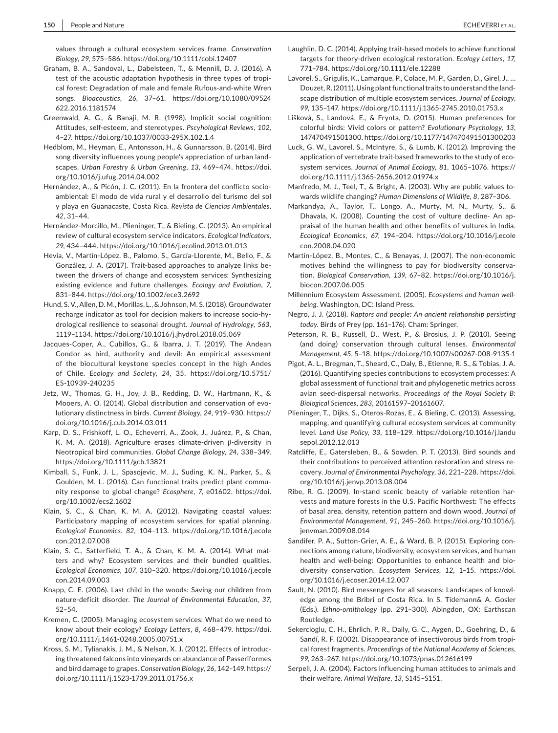values through a cultural ecosystem services frame. *Conservation Biology*, *29*, 575–586.<https://doi.org/10.1111/cobi.12407>

- Graham, B. A., Sandoval, L., Dabelsteen, T., & Mennill, D. J. (2016). A test of the acoustic adaptation hypothesis in three types of tropical forest: Degradation of male and female Rufous‐and‐white Wren songs. *Bioacoustics*, *26*, 37–61. [https://doi.org/10.1080/09524](https://doi.org/10.1080/09524622.2016.1181574) [622.2016.1181574](https://doi.org/10.1080/09524622.2016.1181574)
- Greenwald, A. G., & Banaji, M. R. (1998). Implicit social cognition: Attitudes, self‐esteem, and stereotypes. *Pscyhological Reviews*, *102*, 4–27. <https://doi.org/10.1037/0033-295X.102.1.4>
- Hedblom, M., Heyman, E., Antonsson, H., & Gunnarsson, B. (2014). Bird song diversity influences young people's appreciation of urban land‐ scapes. *Urban Forestry & Urban Greening*, *13*, 469–474. [https://doi.](https://doi.org/10.1016/j.ufug.2014.04.002) [org/10.1016/j.ufug.2014.04.002](https://doi.org/10.1016/j.ufug.2014.04.002)
- Hernández, A., & Picón, J. C. (2011). En la frontera del conflicto socio‐ ambiental: El modo de vida rural y el desarrollo del turismo del sol y playa en Guanacaste, Costa Rica. *Revista de Ciencias Ambientales*, *42*, 31–44.
- Hernández‐Morcillo, M., Plieninger, T., & Bieling, C. (2013). An empirical review of cultural ecosystem service indicators. *Ecological Indicators*, *29*, 434–444. <https://doi.org/10.1016/j.ecolind.2013.01.013>
- Hevia, V., Martín‐López, B., Palomo, S., García‐Llorente, M., Bello, F., & González, J. A. (2017). Trait‐based approaches to analyze links be‐ tween the drivers of change and ecosystem services: Synthesizing existing evidence and future challenges. *Ecology and Evolution*, *7*, 831–844. <https://doi.org/10.1002/ece3.2692>
- Hund, S. V., Allen, D. M., Morillas, L., & Johnson, M. S. (2018). Groundwater recharge indicator as tool for decision makers to increase socio‐hy‐ drological resilience to seasonal drought. *Journal of Hydrology*, *563*, 1119–1134. <https://doi.org/10.1016/j.jhydrol.2018.05.069>
- Jacques‐Coper, A., Cubillos, G., & Ibarra, J. T. (2019). The Andean Condor as bird, authority and devil: An empirical assessment of the biocultural keystone species concept in the high Andes of Chile. *Ecology and Society*, *24*, 35. [https://doi.org/10.5751/](https://doi.org/10.5751/ES-10939-240235) [ES-10939-240235](https://doi.org/10.5751/ES-10939-240235)
- Jetz, W., Thomas, G. H., Joy, J. B., Redding, D. W., Hartmann, K., & Mooers, A. O. (2014). Global distribution and conservation of evolutionary distinctness in birds. *Current Biology*, *24*, 919–930. [https://](https://doi.org/10.1016/j.cub.2014.03.011) [doi.org/10.1016/j.cub.2014.03.011](https://doi.org/10.1016/j.cub.2014.03.011)
- Karp, D. S., Frishkoff, L. O., Echeverri, A., Zook, J., Juárez, P., & Chan, K. M. A. (2018). Agriculture erases climate‐driven β‐diversity in Neotropical bird communities. *Global Change Biology*, *24*, 338–349. <https://doi.org/10.1111/gcb.13821>
- Kimball, S., Funk, J. L., Spasojevic, M. J., Suding, K. N., Parker, S., & Goulden, M. L. (2016). Can functional traits predict plant commu‐ nity response to global change? *Ecosphere*, *7*, e01602. [https://doi.](https://doi.org/10.1002/ecs2.1602) [org/10.1002/ecs2.1602](https://doi.org/10.1002/ecs2.1602)
- Klain, S. C., & Chan, K. M. A. (2012). Navigating coastal values: Participatory mapping of ecosystem services for spatial planning. *Ecological Economics*, *82*, 104–113. [https://doi.org/10.1016/j.ecole](https://doi.org/10.1016/j.ecolecon.2012.07.008) [con.2012.07.008](https://doi.org/10.1016/j.ecolecon.2012.07.008)
- Klain, S. C., Satterfield, T. A., & Chan, K. M. A. (2014). What matters and why? Ecosystem services and their bundled qualities. *Ecological Economics*, *107*, 310–320. [https://doi.org/10.1016/j.ecole](https://doi.org/10.1016/j.ecolecon.2014.09.003) [con.2014.09.003](https://doi.org/10.1016/j.ecolecon.2014.09.003)
- Knapp, C. E. (2006). Last child in the woods: Saving our children from nature‐deficit disorder. *The Journal of Environmental Education*, *37*, 52–54.
- Kremen, C. (2005). Managing ecosystem services: What do we need to know about their ecology? *Ecology Letters*, *8*, 468–479. [https://doi.](https://doi.org/10.1111/j.1461-0248.2005.00751.x) [org/10.1111/j.1461-0248.2005.00751.x](https://doi.org/10.1111/j.1461-0248.2005.00751.x)
- Kross, S. M., Tylianakis, J. M., & Nelson, X. J. (2012). Effects of introduc‐ ing threatened falcons into vineyards on abundance of Passeriformes and bird damage to grapes. *Conservation Biology*, *26*, 142–149. [https://](https://doi.org/10.1111/j.1523-1739.2011.01756.x) [doi.org/10.1111/j.1523-1739.2011.01756.x](https://doi.org/10.1111/j.1523-1739.2011.01756.x)
- Laughlin, D. C. (2014). Applying trait‐based models to achieve functional targets for theory‐driven ecological restoration. *Ecology Letters*, *17*, 771–784. <https://doi.org/10.1111/ele.12288>
- Lavorel, S., Grigulis, K., Lamarque, P., Colace, M. P., Garden, D., Girel, J., … Douzet, R. (2011). Using plant functional traits to understand the land‐ scape distribution of multiple ecosystem services. *Journal of Ecology*, *99*, 135–147. <https://doi.org/10.1111/j.1365-2745.2010.01753.x>
- Lišková, S., Landová, E., & Frynta, D. (2015). Human preferences for colorful birds: Vivid colors or pattern? *Evolutionary Psychology*, *13*, 147470491501300.<https://doi.org/10.1177/147470491501300203>
- Luck, G. W., Lavorel, S., McIntyre, S., & Lumb, K. (2012). Improving the application of vertebrate trait-based frameworks to the study of ecosystem services. *Journal of Animal Ecology*, *81*, 1065–1076. [https://](https://doi.org/10.1111/j.1365-2656.2012.01974.x) [doi.org/10.1111/j.1365-2656.2012.01974.x](https://doi.org/10.1111/j.1365-2656.2012.01974.x)
- Manfredo, M. J., Teel, T., & Bright, A. (2003). Why are public values to‐ wards wildlife changing? *Human Dimensions of Wildlife*, *8*, 287–306.
- Markandya, A., Taylor, T., Longo, A., Murty, M. N., Murty, S., & Dhavala, K. (2008). Counting the cost of vulture decline- An appraisal of the human health and other benefits of vultures in India. *Ecological Economics*, *67*, 194–204. [https://doi.org/10.1016/j.ecole](https://doi.org/10.1016/j.ecolecon.2008.04.020) [con.2008.04.020](https://doi.org/10.1016/j.ecolecon.2008.04.020)
- Martín‐López, B., Montes, C., & Benayas, J. (2007). The non‐economic motives behind the willingness to pay for biodiversity conserva‐ tion. *Biological Conservation*, *139*, 67–82. [https://doi.org/10.1016/j.](https://doi.org/10.1016/j.biocon.2007.06.005) [biocon.2007.06.005](https://doi.org/10.1016/j.biocon.2007.06.005)
- Millennium Ecosystem Assessment. (2005). *Ecosystems and human well‐ being*. Washington, DC: Island Press.
- Negro, J. J. (2018). *Raptors and people: An ancient relationship persisting today.* Birds of Prey (pp. 161–176). Cham: Springer.
- Peterson, R. B., Russell, D., West, P., & Brosius, J. P. (2010). Seeing (and doing) conservation through cultural lenses. *Environmental Management*, *45*, 5–18. <https://doi.org/10.1007/s00267-008-9135-1>
- Pigot, A. L., Bregman, T., Sheard, C., Daly, B., Etienne, R. S., & Tobias, J. A. (2016). Quantifying species contributions to ecosystem processes: A global assessment of functional trait and phylogenetic metrics across avian seed‐dispersal networks. *Proceedings of the Royal Society B: Biological Sciences*, *283*, 20161597–20161607.
- Plieninger, T., Dijks, S., Oteros‐Rozas, E., & Bieling, C. (2013). Assessing, mapping, and quantifying cultural ecosystem services at community level. *Land Use Policy*, *33*, 118–129. [https://doi.org/10.1016/j.landu](https://doi.org/10.1016/j.landusepol.2012.12.013) [sepol.2012.12.013](https://doi.org/10.1016/j.landusepol.2012.12.013)
- Ratcliffe, E., Gatersleben, B., & Sowden, P. T. (2013). Bird sounds and their contributions to perceived attention restoration and stress re‐ covery. *Journal of Environmental Psychology*, *36*, 221–228. [https://doi.](https://doi.org/10.1016/j.jenvp.2013.08.004) [org/10.1016/j.jenvp.2013.08.004](https://doi.org/10.1016/j.jenvp.2013.08.004)
- Ribe, R. G. (2009). In-stand scenic beauty of variable retention harvests and mature forests in the U.S. Pacific Northwest: The effects of basal area, density, retention pattern and down wood. *Journal of Environmental Management*, *91*, 245–260. [https://doi.org/10.1016/j.](https://doi.org/10.1016/j.jenvman.2009.08.014) [jenvman.2009.08.014](https://doi.org/10.1016/j.jenvman.2009.08.014)
- Sandifer, P. A., Sutton‐Grier, A. E., & Ward, B. P. (2015). Exploring con‐ nections among nature, biodiversity, ecosystem services, and human health and well-being: Opportunities to enhance health and biodiversity conservation. *Ecosystem Services*, *12*, 1–15. [https://doi.](https://doi.org/10.1016/j.ecoser.2014.12.007) [org/10.1016/j.ecoser.2014.12.007](https://doi.org/10.1016/j.ecoser.2014.12.007)
- Sault, N. (2010). Bird messengers for all seasons: Landscapes of knowl‐ edge among the Bribri of Costa Rica. In S. Tidemann& A. Gosler (Eds.). *Ethno‐ornithology* (pp. 291–300). Abingdon, OX: Earthscan Routledge.
- Sekercioglu, C. H., Ehrlich, P. R., Daily, G. C., Aygen, D., Goehring, D., & Sandí, R. F. (2002). Disappearance of insectivorous birds from tropi‐ cal forest fragments. *Proceedings of the National Academy of Sciences*, *99*, 263–267.<https://doi.org/10.1073/pnas.012616199>
- Serpell, J. A. (2004). Factors influencing human attitudes to animals and their welfare. *Animal Welfare*, *13*, S145–S151.